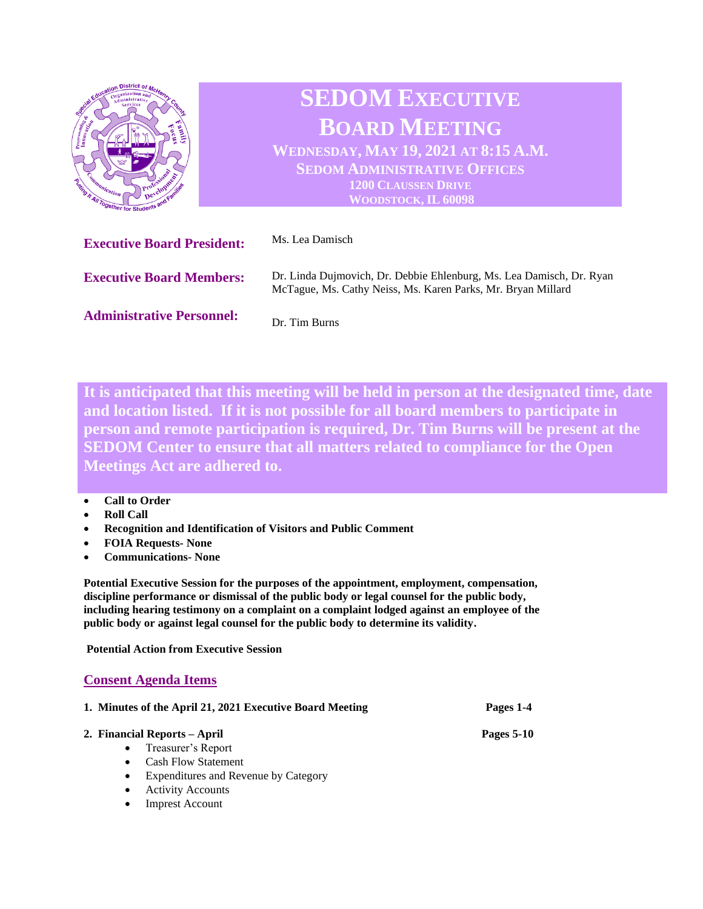

**It is anticipated that this meeting will be held in person at the designated time, date and location listed. If it is not possible for all board members to participate in person and remote participation is required, Dr. Tim Burns will be present at the SEDOM Center to ensure that all matters related to compliance for the Open Meetings Act are adhered to.** 

## • **Call to Order**

- **Roll Call**
- **Recognition and Identification of Visitors and Public Comment**
- **FOIA Requests- None**
- **Communications- None**

**Potential Executive Session for the purposes of the appointment, employment, compensation, discipline performance or dismissal of the public body or legal counsel for the public body, including hearing testimony on a complaint on a complaint lodged against an employee of the public body or against legal counsel for the public body to determine its validity.**

**Potential Action from Executive Session** 

## **Consent Agenda Items**

| 1. Minutes of the April 21, 2021 Executive Board Meeting | Pages 1-4         |
|----------------------------------------------------------|-------------------|
| 2. Financial Reports – April                             | <b>Pages 5-10</b> |
| Treasurer's Report                                       |                   |
| <b>Cash Flow Statement</b>                               |                   |
| Expenditures and Revenue by Category                     |                   |
| <b>Activity Accounts</b>                                 |                   |

**Imprest Account**